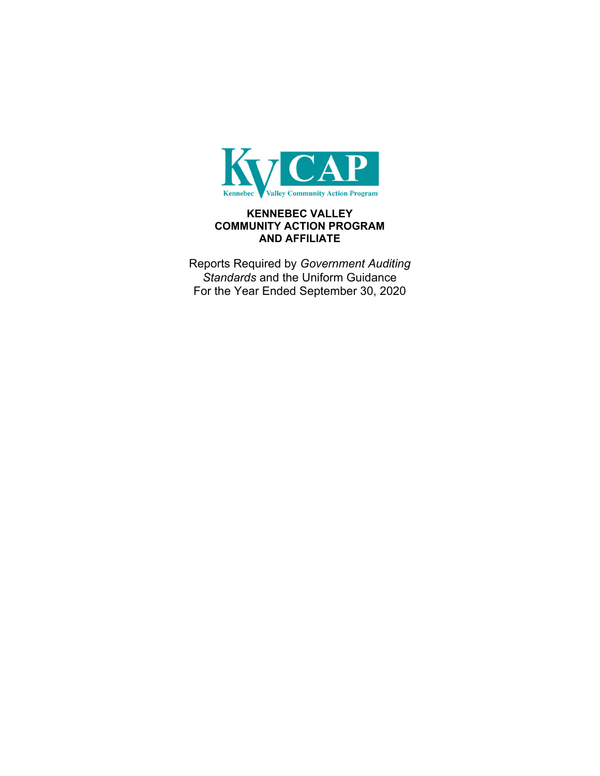

### **KENNEBEC VALLEY COMMUNITY ACTION PROGRAM AND AFFILIATE**

Reports Required by *Government Auditing Standards* and the Uniform Guidance For the Year Ended September 30, 2020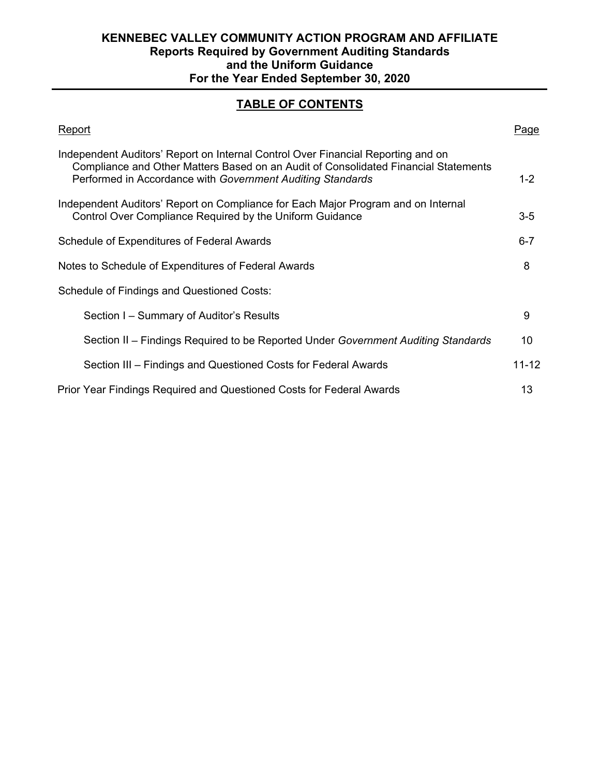## **KENNEBEC VALLEY COMMUNITY ACTION PROGRAM AND AFFILIATE Reports Required by Government Auditing Standards and the Uniform Guidance For the Year Ended September 30, 2020**

# **TABLE OF CONTENTS**

| Report                                                                                                                                                                                                                                | <u>Page</u> |
|---------------------------------------------------------------------------------------------------------------------------------------------------------------------------------------------------------------------------------------|-------------|
| Independent Auditors' Report on Internal Control Over Financial Reporting and on<br>Compliance and Other Matters Based on an Audit of Consolidated Financial Statements<br>Performed in Accordance with Government Auditing Standards | $1 - 2$     |
| Independent Auditors' Report on Compliance for Each Major Program and on Internal<br>Control Over Compliance Required by the Uniform Guidance                                                                                         | $3 - 5$     |
| Schedule of Expenditures of Federal Awards                                                                                                                                                                                            | $6 - 7$     |
| Notes to Schedule of Expenditures of Federal Awards                                                                                                                                                                                   | 8           |
| Schedule of Findings and Questioned Costs:                                                                                                                                                                                            |             |
| Section I – Summary of Auditor's Results                                                                                                                                                                                              | 9           |
| Section II – Findings Required to be Reported Under Government Auditing Standards                                                                                                                                                     | 10          |
| Section III - Findings and Questioned Costs for Federal Awards                                                                                                                                                                        | $11 - 12$   |
| Prior Year Findings Required and Questioned Costs for Federal Awards                                                                                                                                                                  | 13          |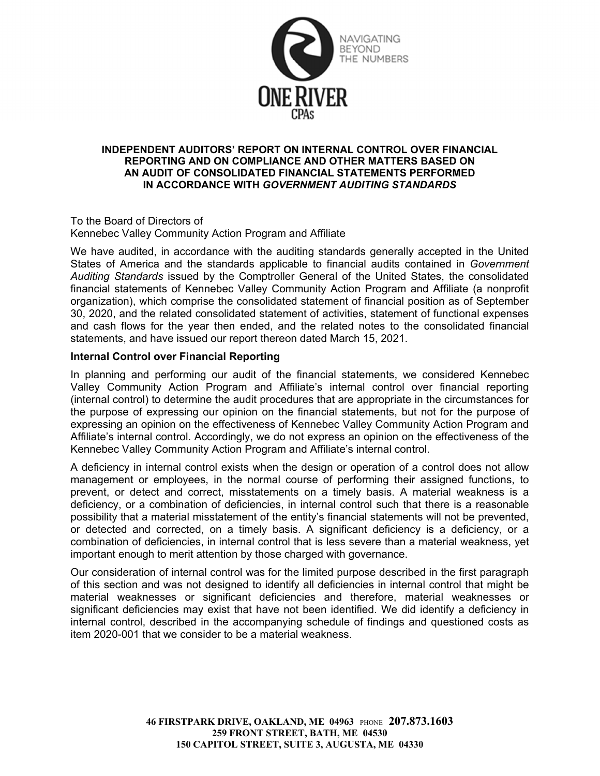

#### **INDEPENDENT AUDITORS' REPORT ON INTERNAL CONTROL OVER FINANCIAL REPORTING AND ON COMPLIANCE AND OTHER MATTERS BASED ON AN AUDIT OF CONSOLIDATED FINANCIAL STATEMENTS PERFORMED IN ACCORDANCE WITH** *GOVERNMENT AUDITING STANDARDS*

To the Board of Directors of Kennebec Valley Community Action Program and Affiliate

We have audited, in accordance with the auditing standards generally accepted in the United States of America and the standards applicable to financial audits contained in *Government Auditing Standards* issued by the Comptroller General of the United States, the consolidated financial statements of Kennebec Valley Community Action Program and Affiliate (a nonprofit organization), which comprise the consolidated statement of financial position as of September 30, 2020, and the related consolidated statement of activities, statement of functional expenses and cash flows for the year then ended, and the related notes to the consolidated financial statements, and have issued our report thereon dated March 15, 2021.

#### **Internal Control over Financial Reporting**

In planning and performing our audit of the financial statements, we considered Kennebec Valley Community Action Program and Affiliate's internal control over financial reporting (internal control) to determine the audit procedures that are appropriate in the circumstances for the purpose of expressing our opinion on the financial statements, but not for the purpose of expressing an opinion on the effectiveness of Kennebec Valley Community Action Program and Affiliate's internal control. Accordingly, we do not express an opinion on the effectiveness of the Kennebec Valley Community Action Program and Affiliate's internal control.

A deficiency in internal control exists when the design or operation of a control does not allow management or employees, in the normal course of performing their assigned functions, to prevent, or detect and correct, misstatements on a timely basis. A material weakness is a deficiency, or a combination of deficiencies, in internal control such that there is a reasonable possibility that a material misstatement of the entity's financial statements will not be prevented, or detected and corrected, on a timely basis. A significant deficiency is a deficiency, or a combination of deficiencies, in internal control that is less severe than a material weakness, yet important enough to merit attention by those charged with governance.

Our consideration of internal control was for the limited purpose described in the first paragraph of this section and was not designed to identify all deficiencies in internal control that might be material weaknesses or significant deficiencies and therefore, material weaknesses or significant deficiencies may exist that have not been identified. We did identify a deficiency in internal control, described in the accompanying schedule of findings and questioned costs as item 2020-001 that we consider to be a material weakness.

> **46 FIRSTPARK DRIVE, OAKLAND, ME 04963** PHONE **207.873.1603 259 FRONT STREET, BATH, ME 04530 150 CAPITOL STREET, SUITE 3, AUGUSTA, ME 04330**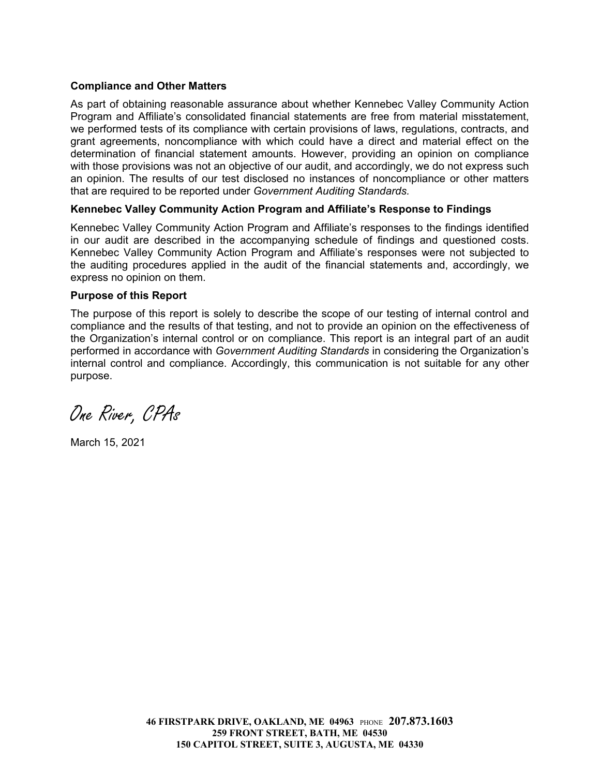#### **Compliance and Other Matters**

As part of obtaining reasonable assurance about whether Kennebec Valley Community Action Program and Affiliate's consolidated financial statements are free from material misstatement, we performed tests of its compliance with certain provisions of laws, regulations, contracts, and grant agreements, noncompliance with which could have a direct and material effect on the determination of financial statement amounts. However, providing an opinion on compliance with those provisions was not an objective of our audit, and accordingly, we do not express such an opinion. The results of our test disclosed no instances of noncompliance or other matters that are required to be reported under *Government Auditing Standards.* 

#### **Kennebec Valley Community Action Program and Affiliate's Response to Findings**

Kennebec Valley Community Action Program and Affiliate's responses to the findings identified in our audit are described in the accompanying schedule of findings and questioned costs. Kennebec Valley Community Action Program and Affiliate's responses were not subjected to the auditing procedures applied in the audit of the financial statements and, accordingly, we express no opinion on them.

#### **Purpose of this Report**

The purpose of this report is solely to describe the scope of our testing of internal control and compliance and the results of that testing, and not to provide an opinion on the effectiveness of the Organization's internal control or on compliance. This report is an integral part of an audit performed in accordance with *Government Auditing Standards* in considering the Organization's internal control and compliance. Accordingly, this communication is not suitable for any other purpose.

One River, CPAs

March 15, 2021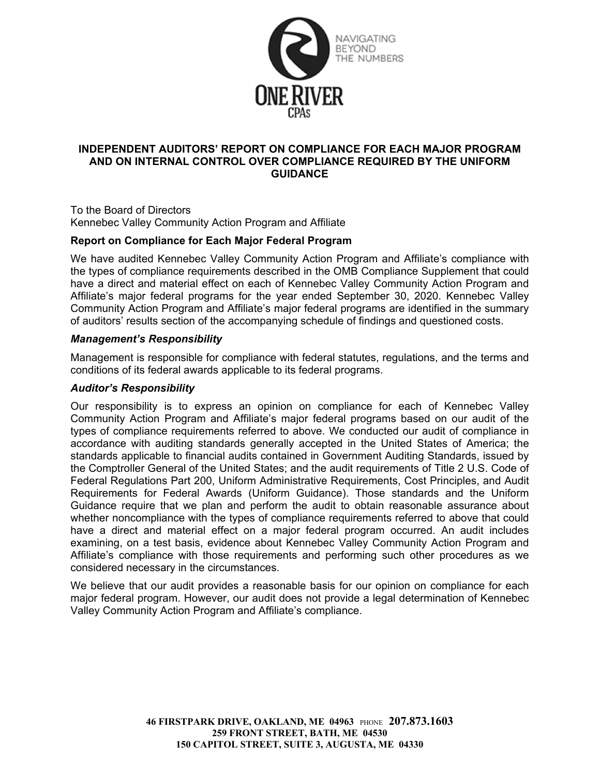

### **INDEPENDENT AUDITORS' REPORT ON COMPLIANCE FOR EACH MAJOR PROGRAM AND ON INTERNAL CONTROL OVER COMPLIANCE REQUIRED BY THE UNIFORM GUIDANCE**

To the Board of Directors Kennebec Valley Community Action Program and Affiliate

#### **Report on Compliance for Each Major Federal Program**

We have audited Kennebec Valley Community Action Program and Affiliate's compliance with the types of compliance requirements described in the OMB Compliance Supplement that could have a direct and material effect on each of Kennebec Valley Community Action Program and Affiliate's major federal programs for the year ended September 30, 2020. Kennebec Valley Community Action Program and Affiliate's major federal programs are identified in the summary of auditors' results section of the accompanying schedule of findings and questioned costs.

#### *Management's Responsibility*

Management is responsible for compliance with federal statutes, regulations, and the terms and conditions of its federal awards applicable to its federal programs.

#### *Auditor's Responsibility*

Our responsibility is to express an opinion on compliance for each of Kennebec Valley Community Action Program and Affiliate's major federal programs based on our audit of the types of compliance requirements referred to above. We conducted our audit of compliance in accordance with auditing standards generally accepted in the United States of America; the standards applicable to financial audits contained in Government Auditing Standards, issued by the Comptroller General of the United States; and the audit requirements of Title 2 U.S. Code of Federal Regulations Part 200, Uniform Administrative Requirements, Cost Principles, and Audit Requirements for Federal Awards (Uniform Guidance). Those standards and the Uniform Guidance require that we plan and perform the audit to obtain reasonable assurance about whether noncompliance with the types of compliance requirements referred to above that could have a direct and material effect on a major federal program occurred. An audit includes examining, on a test basis, evidence about Kennebec Valley Community Action Program and Affiliate's compliance with those requirements and performing such other procedures as we considered necessary in the circumstances.

We believe that our audit provides a reasonable basis for our opinion on compliance for each major federal program. However, our audit does not provide a legal determination of Kennebec Valley Community Action Program and Affiliate's compliance.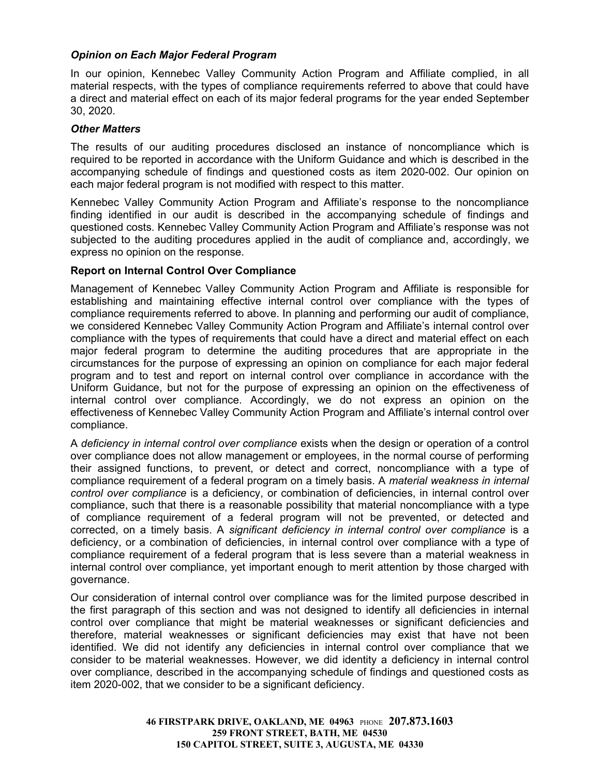### *Opinion on Each Major Federal Program*

In our opinion, Kennebec Valley Community Action Program and Affiliate complied, in all material respects, with the types of compliance requirements referred to above that could have a direct and material effect on each of its major federal programs for the year ended September 30, 2020.

#### *Other Matters*

The results of our auditing procedures disclosed an instance of noncompliance which is required to be reported in accordance with the Uniform Guidance and which is described in the accompanying schedule of findings and questioned costs as item 2020-002. Our opinion on each major federal program is not modified with respect to this matter.

Kennebec Valley Community Action Program and Affiliate's response to the noncompliance finding identified in our audit is described in the accompanying schedule of findings and questioned costs. Kennebec Valley Community Action Program and Affiliate's response was not subjected to the auditing procedures applied in the audit of compliance and, accordingly, we express no opinion on the response.

#### **Report on Internal Control Over Compliance**

Management of Kennebec Valley Community Action Program and Affiliate is responsible for establishing and maintaining effective internal control over compliance with the types of compliance requirements referred to above. In planning and performing our audit of compliance, we considered Kennebec Valley Community Action Program and Affiliate's internal control over compliance with the types of requirements that could have a direct and material effect on each major federal program to determine the auditing procedures that are appropriate in the circumstances for the purpose of expressing an opinion on compliance for each major federal program and to test and report on internal control over compliance in accordance with the Uniform Guidance, but not for the purpose of expressing an opinion on the effectiveness of internal control over compliance. Accordingly, we do not express an opinion on the effectiveness of Kennebec Valley Community Action Program and Affiliate's internal control over compliance.

A *deficiency in internal control over compliance* exists when the design or operation of a control over compliance does not allow management or employees, in the normal course of performing their assigned functions, to prevent, or detect and correct, noncompliance with a type of compliance requirement of a federal program on a timely basis. A *material weakness in internal control over compliance* is a deficiency, or combination of deficiencies, in internal control over compliance, such that there is a reasonable possibility that material noncompliance with a type of compliance requirement of a federal program will not be prevented, or detected and corrected, on a timely basis. A *significant deficiency in internal control over compliance* is a deficiency, or a combination of deficiencies, in internal control over compliance with a type of compliance requirement of a federal program that is less severe than a material weakness in internal control over compliance, yet important enough to merit attention by those charged with governance.

Our consideration of internal control over compliance was for the limited purpose described in the first paragraph of this section and was not designed to identify all deficiencies in internal control over compliance that might be material weaknesses or significant deficiencies and therefore, material weaknesses or significant deficiencies may exist that have not been identified. We did not identify any deficiencies in internal control over compliance that we consider to be material weaknesses. However, we did identity a deficiency in internal control over compliance, described in the accompanying schedule of findings and questioned costs as item 2020-002, that we consider to be a significant deficiency.

> **46 FIRSTPARK DRIVE, OAKLAND, ME 04963** PHONE **207.873.1603 259 FRONT STREET, BATH, ME 04530 150 CAPITOL STREET, SUITE 3, AUGUSTA, ME 04330**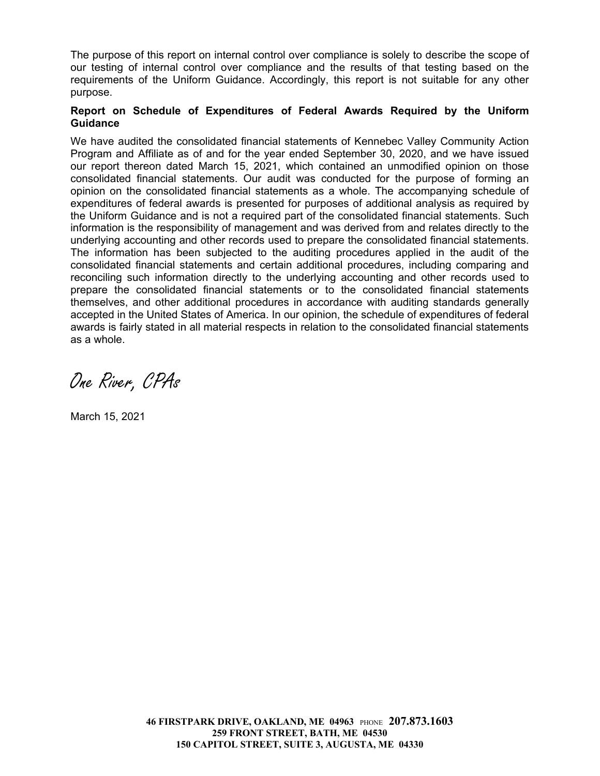The purpose of this report on internal control over compliance is solely to describe the scope of our testing of internal control over compliance and the results of that testing based on the requirements of the Uniform Guidance. Accordingly, this report is not suitable for any other purpose.

#### **Report on Schedule of Expenditures of Federal Awards Required by the Uniform Guidance**

We have audited the consolidated financial statements of Kennebec Valley Community Action Program and Affiliate as of and for the year ended September 30, 2020, and we have issued our report thereon dated March 15, 2021, which contained an unmodified opinion on those consolidated financial statements. Our audit was conducted for the purpose of forming an opinion on the consolidated financial statements as a whole. The accompanying schedule of expenditures of federal awards is presented for purposes of additional analysis as required by the Uniform Guidance and is not a required part of the consolidated financial statements. Such information is the responsibility of management and was derived from and relates directly to the underlying accounting and other records used to prepare the consolidated financial statements. The information has been subjected to the auditing procedures applied in the audit of the consolidated financial statements and certain additional procedures, including comparing and reconciling such information directly to the underlying accounting and other records used to prepare the consolidated financial statements or to the consolidated financial statements themselves, and other additional procedures in accordance with auditing standards generally accepted in the United States of America. In our opinion, the schedule of expenditures of federal awards is fairly stated in all material respects in relation to the consolidated financial statements as a whole.

One River, CPAs

March 15, 2021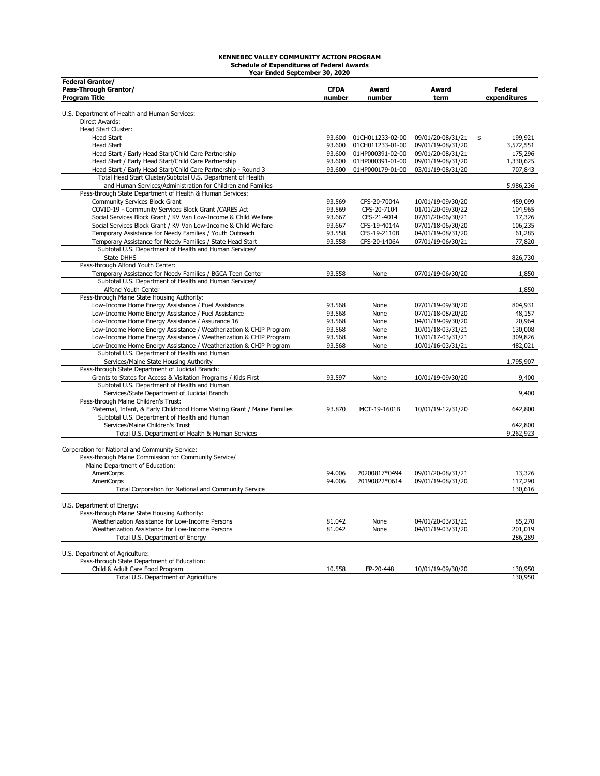#### **KENNEBEC VALLEY COMMUNITY ACTION PROGRAM Schedule of Expenditures of Federal Awards Year Ended September 30, 2020**

| <b>Federal Grantor/</b>                                                  |             |                  |                   |               |
|--------------------------------------------------------------------------|-------------|------------------|-------------------|---------------|
| Pass-Through Grantor/                                                    | <b>CFDA</b> | Award            | Award             | Federal       |
| <b>Program Title</b>                                                     | number      | number           | term              | expenditures  |
|                                                                          |             |                  |                   |               |
| U.S. Department of Health and Human Services:                            |             |                  |                   |               |
| Direct Awards:                                                           |             |                  |                   |               |
| Head Start Cluster:                                                      |             |                  |                   |               |
| <b>Head Start</b>                                                        | 93.600      | 01CH011233-02-00 | 09/01/20-08/31/21 | 199,921<br>\$ |
| <b>Head Start</b>                                                        | 93.600      | 01CH011233-01-00 | 09/01/19-08/31/20 | 3,572,551     |
| Head Start / Early Head Start/Child Care Partnership                     | 93.600      | 01HP000391-02-00 | 09/01/20-08/31/21 | 175,296       |
| Head Start / Early Head Start/Child Care Partnership                     | 93.600      | 01HP000391-01-00 | 09/01/19-08/31/20 | 1,330,625     |
| Head Start / Early Head Start/Child Care Partnership - Round 3           | 93.600      | 01HP000179-01-00 |                   | 707,843       |
| Total Head Start Cluster/Subtotal U.S. Department of Health              |             |                  | 03/01/19-08/31/20 |               |
|                                                                          |             |                  |                   |               |
| and Human Services/Administration for Children and Families              |             |                  |                   | 5,986,236     |
| Pass-through State Department of Health & Human Services:                |             |                  |                   |               |
| Community Services Block Grant                                           | 93.569      | CFS-20-7004A     | 10/01/19-09/30/20 | 459,099       |
| COVID-19 - Community Services Block Grant /CARES Act                     | 93.569      | CFS-20-7104      | 01/01/20-09/30/22 | 104,965       |
| Social Services Block Grant / KV Van Low-Income & Child Welfare          | 93.667      | CFS-21-4014      | 07/01/20-06/30/21 | 17,326        |
| Social Services Block Grant / KV Van Low-Income & Child Welfare          | 93.667      | CFS-19-4014A     | 07/01/18-06/30/20 | 106,235       |
| Temporary Assistance for Needy Families / Youth Outreach                 | 93.558      | CFS-19-2110B     | 04/01/19-08/31/20 | 61,285        |
| Temporary Assistance for Needy Families / State Head Start               | 93.558      | CFS-20-1406A     | 07/01/19-06/30/21 | 77,820        |
| Subtotal U.S. Department of Health and Human Services/                   |             |                  |                   |               |
| <b>State DHHS</b>                                                        |             |                  |                   | 826,730       |
| Pass-through Alfond Youth Center:                                        |             |                  |                   |               |
| Temporary Assistance for Needy Families / BGCA Teen Center               | 93.558      | None             | 07/01/19-06/30/20 | 1,850         |
| Subtotal U.S. Department of Health and Human Services/                   |             |                  |                   |               |
| Alfond Youth Center                                                      |             |                  |                   | 1,850         |
| Pass-through Maine State Housing Authority:                              |             |                  |                   |               |
| Low-Income Home Energy Assistance / Fuel Assistance                      | 93.568      | None             | 07/01/19-09/30/20 | 804,931       |
| Low-Income Home Energy Assistance / Fuel Assistance                      | 93.568      | <b>None</b>      | 07/01/18-08/20/20 | 48,157        |
| Low-Income Home Energy Assistance / Assurance 16                         | 93.568      | None             | 04/01/19-09/30/20 | 20,964        |
| Low-Income Home Energy Assistance / Weatherization & CHIP Program        | 93.568      | None             | 10/01/18-03/31/21 | 130,008       |
| Low-Income Home Energy Assistance / Weatherization & CHIP Program        | 93.568      | None             | 10/01/17-03/31/21 | 309,826       |
| Low-Income Home Energy Assistance / Weatherization & CHIP Program        | 93.568      | None             | 10/01/16-03/31/21 | 482,021       |
| Subtotal U.S. Department of Health and Human                             |             |                  |                   |               |
| Services/Maine State Housing Authority                                   |             |                  |                   | 1,795,907     |
| Pass-through State Department of Judicial Branch:                        |             |                  |                   |               |
| Grants to States for Access & Visitation Programs / Kids First           | 93.597      | None             | 10/01/19-09/30/20 | 9,400         |
| Subtotal U.S. Department of Health and Human                             |             |                  |                   |               |
| Services/State Department of Judicial Branch                             |             |                  |                   | 9,400         |
|                                                                          |             |                  |                   |               |
| Pass-through Maine Children's Trust:                                     |             |                  |                   |               |
| Maternal, Infant, & Early Childhood Home Visiting Grant / Maine Families | 93.870      | MCT-19-1601B     | 10/01/19-12/31/20 | 642,800       |
| Subtotal U.S. Department of Health and Human                             |             |                  |                   |               |
| Services/Maine Children's Trust                                          |             |                  |                   | 642,800       |
| Total U.S. Department of Health & Human Services                         |             |                  |                   | 9,262,923     |
|                                                                          |             |                  |                   |               |
| Corporation for National and Community Service:                          |             |                  |                   |               |
| Pass-through Maine Commission for Community Service/                     |             |                  |                   |               |
| Maine Department of Education:                                           |             |                  |                   |               |
| <b>AmeriCorps</b>                                                        | 94.006      | 20200817*0494    | 09/01/20-08/31/21 | 13,326        |
| <b>AmeriCorps</b>                                                        | 94.006      | 20190822*0614    | 09/01/19-08/31/20 | 117,290       |
| Total Corporation for National and Community Service                     |             |                  |                   | 130,616       |
|                                                                          |             |                  |                   |               |
| U.S. Department of Energy:                                               |             |                  |                   |               |
| Pass-through Maine State Housing Authority:                              |             |                  |                   |               |
| Weatherization Assistance for Low-Income Persons                         | 81.042      | None             | 04/01/20-03/31/21 | 85,270        |
| Weatherization Assistance for Low-Income Persons                         | 81.042      | None             | 04/01/19-03/31/20 | 201,019       |
| Total U.S. Department of Energy                                          |             |                  |                   | 286,289       |
|                                                                          |             |                  |                   |               |
| U.S. Department of Agriculture:                                          |             |                  |                   |               |
| Pass-through State Department of Education:                              |             |                  |                   |               |
| Child & Adult Care Food Program                                          | 10.558      | FP-20-448        | 10/01/19-09/30/20 | 130,950       |
| Total U.S. Department of Agriculture                                     |             |                  |                   | 130,950       |
|                                                                          |             |                  |                   |               |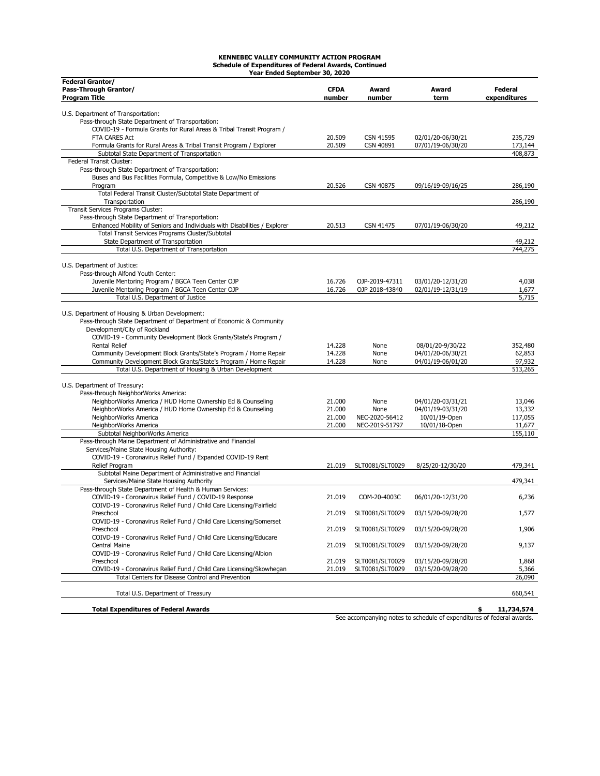#### **Year Ended September 30, 2020 KENNEBEC VALLEY COMMUNITY ACTION PROGRAM Schedule of Expenditures of Federal Awards, Continued**

| <b>Federal Grantor/</b><br>Pass-Through Grantor/                                                                         | <b>CFDA</b> | Award            | Award             | Federal          |
|--------------------------------------------------------------------------------------------------------------------------|-------------|------------------|-------------------|------------------|
| <b>Program Title</b>                                                                                                     | number      | number           | term              | expenditures     |
|                                                                                                                          |             |                  |                   |                  |
| U.S. Department of Transportation:                                                                                       |             |                  |                   |                  |
| Pass-through State Department of Transportation:<br>COVID-19 - Formula Grants for Rural Areas & Tribal Transit Program / |             |                  |                   |                  |
| FTA CARES Act                                                                                                            | 20.509      | <b>CSN 41595</b> | 02/01/20-06/30/21 | 235,729          |
| Formula Grants for Rural Areas & Tribal Transit Program / Explorer                                                       | 20.509      | CSN 40891        | 07/01/19-06/30/20 | 173,144          |
| Subtotal State Department of Transportation                                                                              |             |                  |                   | 408,873          |
| Federal Transit Cluster:                                                                                                 |             |                  |                   |                  |
| Pass-through State Department of Transportation:                                                                         |             |                  |                   |                  |
| Buses and Bus Facilities Formula, Competitive & Low/No Emissions                                                         |             |                  |                   |                  |
| Program<br>Total Federal Transit Cluster/Subtotal State Department of                                                    | 20.526      | <b>CSN 40875</b> | 09/16/19-09/16/25 | 286,190          |
| Transportation                                                                                                           |             |                  |                   | 286,190          |
| Transit Services Programs Cluster:                                                                                       |             |                  |                   |                  |
| Pass-through State Department of Transportation:                                                                         |             |                  |                   |                  |
| Enhanced Mobility of Seniors and Individuals with Disabilities / Explorer                                                | 20.513      | CSN 41475        | 07/01/19-06/30/20 | 49,212           |
| Total Transit Services Programs Cluster/Subtotal                                                                         |             |                  |                   |                  |
| State Department of Transportation                                                                                       |             |                  |                   | 49,212           |
| Total U.S. Department of Transportation                                                                                  |             |                  |                   | 744,275          |
| U.S. Department of Justice:                                                                                              |             |                  |                   |                  |
| Pass-through Alfond Youth Center:                                                                                        |             |                  |                   |                  |
| Juvenile Mentoring Program / BGCA Teen Center OJP                                                                        | 16.726      | OJP-2019-47311   | 03/01/20-12/31/20 | 4,038            |
| Juvenile Mentoring Program / BGCA Teen Center OJP                                                                        | 16.726      | OJP 2018-43840   | 02/01/19-12/31/19 | 1,677            |
| Total U.S. Department of Justice                                                                                         |             |                  |                   | 5,715            |
|                                                                                                                          |             |                  |                   |                  |
| U.S. Department of Housing & Urban Development:<br>Pass-through State Department of Department of Economic & Community   |             |                  |                   |                  |
| Development/City of Rockland                                                                                             |             |                  |                   |                  |
| COVID-19 - Community Development Block Grants/State's Program /                                                          |             |                  |                   |                  |
| <b>Rental Relief</b>                                                                                                     | 14.228      | None             | 08/01/20-9/30/22  | 352,480          |
| Community Development Block Grants/State's Program / Home Repair                                                         | 14.228      | None             | 04/01/20-06/30/21 | 62,853           |
| Community Development Block Grants/State's Program / Home Repair                                                         | 14.228      | None             | 04/01/19-06/01/20 | 97,932           |
| Total U.S. Department of Housing & Urban Development                                                                     |             |                  |                   | 513,265          |
|                                                                                                                          |             |                  |                   |                  |
| U.S. Department of Treasury:<br>Pass-through NeighborWorks America:                                                      |             |                  |                   |                  |
| NeighborWorks America / HUD Home Ownership Ed & Counseling                                                               | 21.000      | None             | 04/01/20-03/31/21 | 13,046           |
| NeighborWorks America / HUD Home Ownership Ed & Counseling                                                               | 21.000      | None             | 04/01/19-03/31/20 | 13,332           |
| NeighborWorks America                                                                                                    | 21.000      | NEC-2020-56412   | 10/01/19-Open     | 117,055          |
| NeighborWorks America                                                                                                    | 21.000      | NEC-2019-51797   | 10/01/18-Open     | 11,677           |
| Subtotal NeighborWorks America                                                                                           |             |                  |                   | 155,110          |
| Pass-through Maine Department of Administrative and Financial                                                            |             |                  |                   |                  |
| Services/Maine State Housing Authority:<br>COVID-19 - Coronavirus Relief Fund / Expanded COVID-19 Rent                   |             |                  |                   |                  |
| Relief Program                                                                                                           | 21.019      | SLT0081/SLT0029  | 8/25/20-12/30/20  | 479,341          |
| Subtotal Maine Department of Administrative and Financial                                                                |             |                  |                   |                  |
| Services/Maine State Housing Authority                                                                                   |             |                  |                   | 479,341          |
| Pass-through State Department of Health & Human Services:                                                                |             |                  |                   |                  |
| COVID-19 - Coronavirus Relief Fund / COVID-19 Response                                                                   | 21.019      | COM-20-4003C     | 06/01/20-12/31/20 | 6,236            |
| COIVD-19 - Coronavirus Relief Fund / Child Care Licensing/Fairfield                                                      |             |                  |                   |                  |
| Preschool                                                                                                                | 21.019      | SLT0081/SLT0029  | 03/15/20-09/28/20 | 1,577            |
| COVID-19 - Coronavirus Relief Fund / Child Care Licensing/Somerset<br>Preschool                                          | 21.019      | SLT0081/SLT0029  | 03/15/20-09/28/20 | 1,906            |
| COIVD-19 - Coronavirus Relief Fund / Child Care Licensing/Educare                                                        |             |                  |                   |                  |
| Central Maine                                                                                                            | 21.019      | SLT0081/SLT0029  | 03/15/20-09/28/20 | 9,137            |
| COVID-19 - Coronavirus Relief Fund / Child Care Licensing/Albion                                                         |             |                  |                   |                  |
| Preschool                                                                                                                | 21.019      | SLT0081/SLT0029  | 03/15/20-09/28/20 | 1,868            |
| COVID-19 - Coronavirus Relief Fund / Child Care Licensing/Skowhegan                                                      | 21.019      | SLT0081/SLT0029  | 03/15/20-09/28/20 | 5,366            |
| Total Centers for Disease Control and Prevention                                                                         |             |                  |                   | 26,090           |
| Total U.S. Department of Treasury                                                                                        |             |                  |                   | 660,541          |
|                                                                                                                          |             |                  |                   |                  |
| <b>Total Expenditures of Federal Awards</b>                                                                              |             |                  |                   | 11,734,574<br>\$ |

See accompanying notes to schedule of expenditures of federal awards.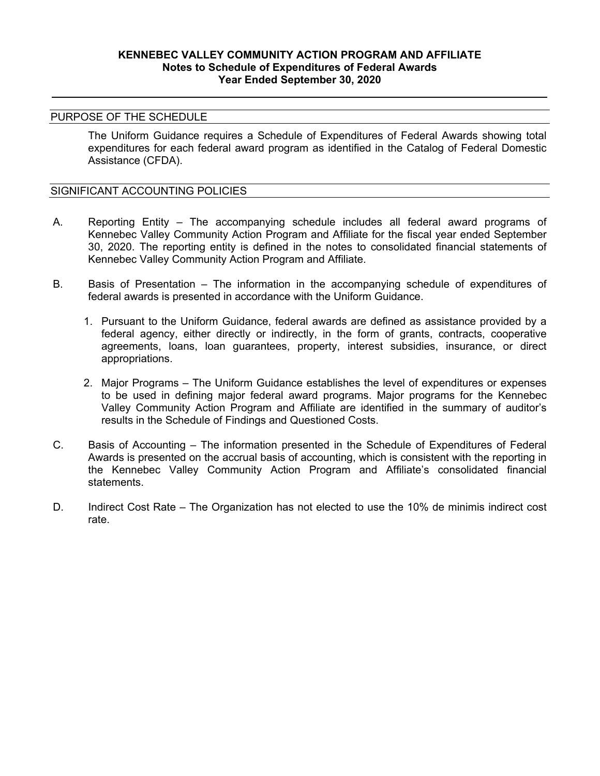#### **KENNEBEC VALLEY COMMUNITY ACTION PROGRAM AND AFFILIATE Notes to Schedule of Expenditures of Federal Awards Year Ended September 30, 2020**

#### PURPOSE OF THE SCHEDULE

The Uniform Guidance requires a Schedule of Expenditures of Federal Awards showing total expenditures for each federal award program as identified in the Catalog of Federal Domestic Assistance (CFDA).

#### SIGNIFICANT ACCOUNTING POLICIES

- A. Reporting Entity The accompanying schedule includes all federal award programs of Kennebec Valley Community Action Program and Affiliate for the fiscal year ended September 30, 2020. The reporting entity is defined in the notes to consolidated financial statements of Kennebec Valley Community Action Program and Affiliate.
- B. Basis of Presentation The information in the accompanying schedule of expenditures of federal awards is presented in accordance with the Uniform Guidance.
	- 1. Pursuant to the Uniform Guidance, federal awards are defined as assistance provided by a federal agency, either directly or indirectly, in the form of grants, contracts, cooperative agreements, loans, loan guarantees, property, interest subsidies, insurance, or direct appropriations.
	- 2. Major Programs The Uniform Guidance establishes the level of expenditures or expenses to be used in defining major federal award programs. Major programs for the Kennebec Valley Community Action Program and Affiliate are identified in the summary of auditor's results in the Schedule of Findings and Questioned Costs.
- C. Basis of Accounting The information presented in the Schedule of Expenditures of Federal Awards is presented on the accrual basis of accounting, which is consistent with the reporting in the Kennebec Valley Community Action Program and Affiliate's consolidated financial statements.
- D. Indirect Cost Rate The Organization has not elected to use the 10% de minimis indirect cost rate.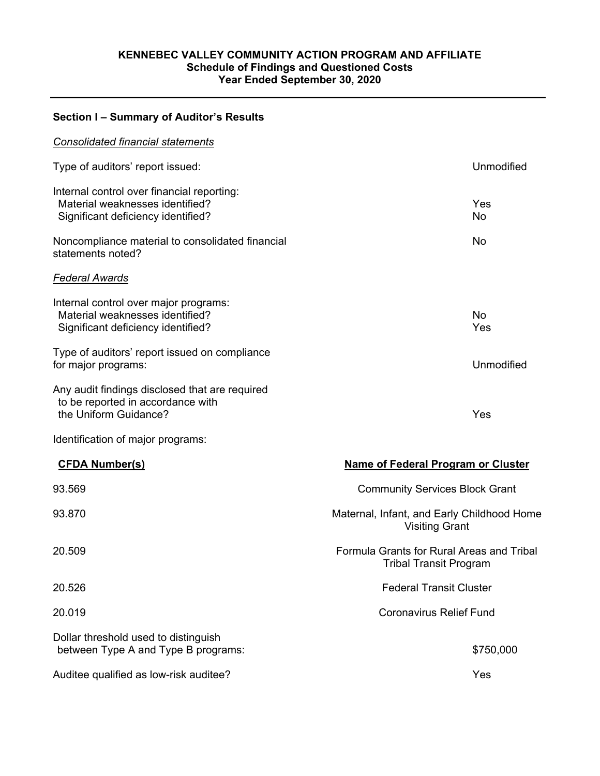#### **KENNEBEC VALLEY COMMUNITY ACTION PROGRAM AND AFFILIATE Schedule of Findings and Questioned Costs Year Ended September 30, 2020**

# **Section I – Summary of Auditor's Results**  *Consolidated financial statements*  Type of auditors' report issued: Unmodified Internal control over financial reporting: Material weaknesses identified? Yes Significant deficiency identified? No Noncompliance material to consolidated financial statements noted? No *Federal Awards*  Internal control over major programs: Material weaknesses identified? No was a set of the set of the set of the set of the set of the set of the set of the set of the set of the set of the set of the set of the set of the set of the set of the set of the set o Significant deficiency identified? The Contract of the Contract of the Contract of the Contract of the Contract of the Contract of the Contract of the Contract of the Contract of the Contract of the Contract of the Contrac Type of auditors' report issued on compliance for major programs: Unmodified Any audit findings disclosed that are required to be reported in accordance with the Uniform Guidance? The Uniform Suite of the Uniform Suite of the Uniform Suite of the Uniform Suite of the U Identification of major programs: CFDA Number(s) **Name of Federal Program or Cluster Name of Federal Program or Cluster** 93.569 93.870 20.509 20.526 20.019 Dollar threshold used to distinguish Community Services Block Grant Maternal, Infant, and Early Childhood Home Visiting Grant Formula Grants for Rural Areas and Tribal Tribal Transit Program Federal Transit Cluster Coronavirus Relief Fund between Type A and Type B programs:  $$750,000$ Auditee qualified as low-risk auditee? Audition of the state of the state of the state of the Yes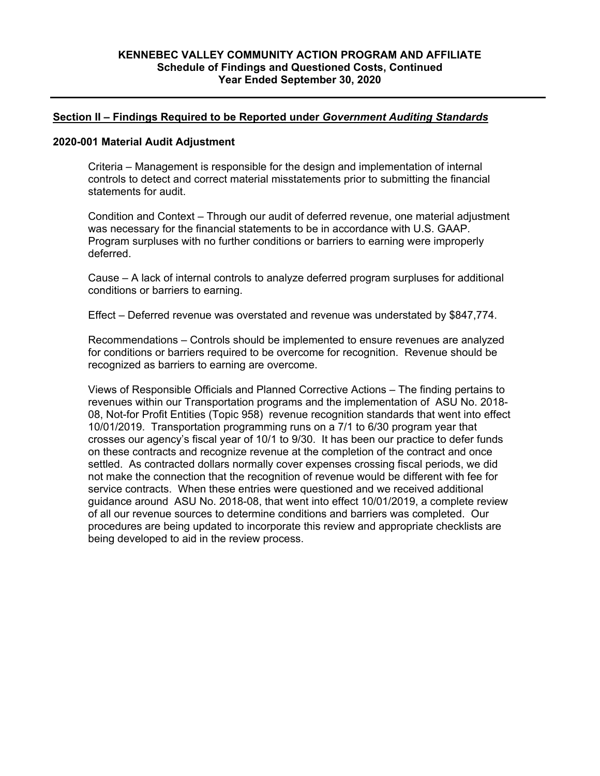#### **Section II – Findings Required to be Reported under** *Government Auditing Standards*

#### **2020-001 Material Audit Adjustment**

Criteria – Management is responsible for the design and implementation of internal controls to detect and correct material misstatements prior to submitting the financial statements for audit.

Condition and Context – Through our audit of deferred revenue, one material adjustment was necessary for the financial statements to be in accordance with U.S. GAAP. Program surpluses with no further conditions or barriers to earning were improperly deferred.

Cause – A lack of internal controls to analyze deferred program surpluses for additional conditions or barriers to earning.

Effect – Deferred revenue was overstated and revenue was understated by \$847,774.

Recommendations – Controls should be implemented to ensure revenues are analyzed for conditions or barriers required to be overcome for recognition. Revenue should be recognized as barriers to earning are overcome.

Views of Responsible Officials and Planned Corrective Actions – The finding pertains to revenues within our Transportation programs and the implementation of ASU No. 2018- 08, Not-for Profit Entities (Topic 958) revenue recognition standards that went into effect 10/01/2019. Transportation programming runs on a 7/1 to 6/30 program year that crosses our agency's fiscal year of 10/1 to 9/30. It has been our practice to defer funds on these contracts and recognize revenue at the completion of the contract and once settled. As contracted dollars normally cover expenses crossing fiscal periods, we did not make the connection that the recognition of revenue would be different with fee for service contracts. When these entries were questioned and we received additional guidance around ASU No. 2018-08, that went into effect 10/01/2019, a complete review of all our revenue sources to determine conditions and barriers was completed. Our procedures are being updated to incorporate this review and appropriate checklists are being developed to aid in the review process.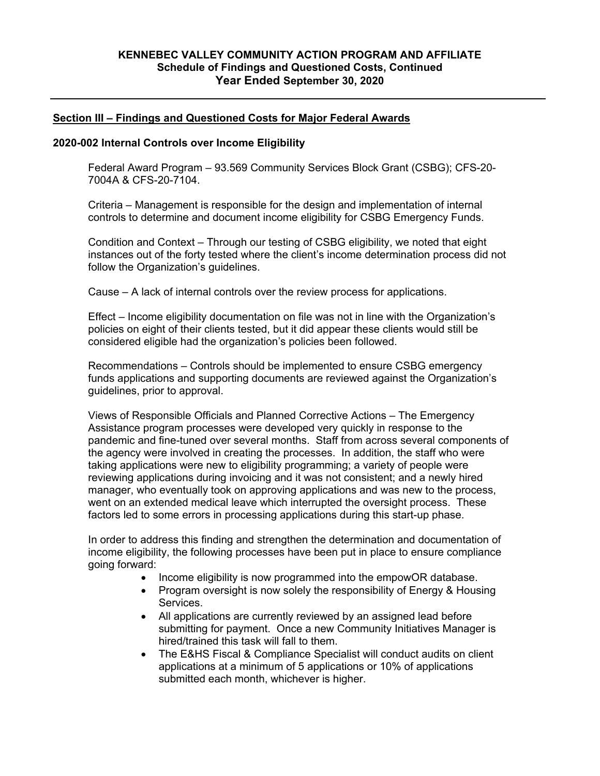### **KENNEBEC VALLEY COMMUNITY ACTION PROGRAM AND AFFILIATE Schedule of Findings and Questioned Costs, Continued Year Ended September 30, 2020**

#### **Section III – Findings and Questioned Costs for Major Federal Awards**

#### **2020-002 Internal Controls over Income Eligibility**

Federal Award Program – 93.569 Community Services Block Grant (CSBG); CFS-20- 7004A & CFS-20-7104.

Criteria – Management is responsible for the design and implementation of internal controls to determine and document income eligibility for CSBG Emergency Funds.

Condition and Context – Through our testing of CSBG eligibility, we noted that eight instances out of the forty tested where the client's income determination process did not follow the Organization's guidelines.

Cause – A lack of internal controls over the review process for applications.

Effect – Income eligibility documentation on file was not in line with the Organization's policies on eight of their clients tested, but it did appear these clients would still be considered eligible had the organization's policies been followed.

Recommendations – Controls should be implemented to ensure CSBG emergency funds applications and supporting documents are reviewed against the Organization's guidelines, prior to approval.

Views of Responsible Officials and Planned Corrective Actions – The Emergency Assistance program processes were developed very quickly in response to the pandemic and fine-tuned over several months. Staff from across several components of the agency were involved in creating the processes. In addition, the staff who were taking applications were new to eligibility programming; a variety of people were reviewing applications during invoicing and it was not consistent; and a newly hired manager, who eventually took on approving applications and was new to the process, went on an extended medical leave which interrupted the oversight process. These factors led to some errors in processing applications during this start-up phase.

In order to address this finding and strengthen the determination and documentation of income eligibility, the following processes have been put in place to ensure compliance going forward:

- Income eligibility is now programmed into the empowOR database.
- Program oversight is now solely the responsibility of Energy & Housing Services.
- All applications are currently reviewed by an assigned lead before submitting for payment. Once a new Community Initiatives Manager is hired/trained this task will fall to them.
- The E&HS Fiscal & Compliance Specialist will conduct audits on client applications at a minimum of 5 applications or 10% of applications submitted each month, whichever is higher.